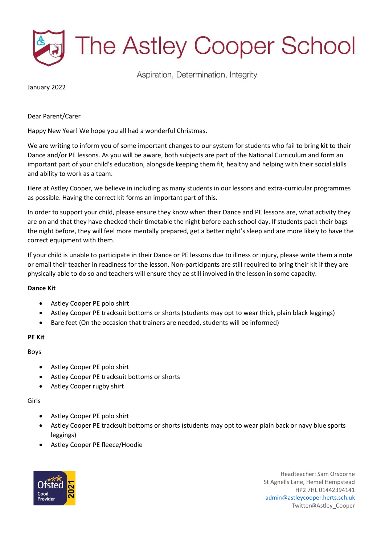

Aspiration, Determination, Integrity

January 2022

# Dear Parent/Carer

Happy New Year! We hope you all had a wonderful Christmas.

We are writing to inform you of some important changes to our system for students who fail to bring kit to their Dance and/or PE lessons. As you will be aware, both subjects are part of the National Curriculum and form an important part of your child's education, alongside keeping them fit, healthy and helping with their social skills and ability to work as a team.

Here at Astley Cooper, we believe in including as many students in our lessons and extra-curricular programmes as possible. Having the correct kit forms an important part of this.

In order to support your child, please ensure they know when their Dance and PE lessons are, what activity they are on and that they have checked their timetable the night before each school day. If students pack their bags the night before, they will feel more mentally prepared, get a better night's sleep and are more likely to have the correct equipment with them.

If your child is unable to participate in their Dance or PE lessons due to illness or injury, please write them a note or email their teacher in readiness for the lesson. Non-participants are still required to bring their kit if they are physically able to do so and teachers will ensure they ae still involved in the lesson in some capacity.

## **Dance Kit**

- Astley Cooper PE polo shirt
- Astley Cooper PE tracksuit bottoms or shorts (students may opt to wear thick, plain black leggings)
- Bare feet (On the occasion that trainers are needed, students will be informed)

## **PE Kit**

Boys

- Astley Cooper PE polo shirt
- Astley Cooper PE tracksuit bottoms or shorts
- Astley Cooper rugby shirt

## Girls

- Astley Cooper PE polo shirt
- Astley Cooper PE tracksuit bottoms or shorts (students may opt to wear plain back or navy blue sports leggings)
- Astley Cooper PE fleece/Hoodie



Headteacher: Sam Orsborne St Agnells Lane, Hemel Hempstead HP2 7HL 01442394141 [admin@astleycooper.herts.sch.uk](mailto:admin@astleycooper.herts.sch.uk) Twitter@Astley\_Cooper